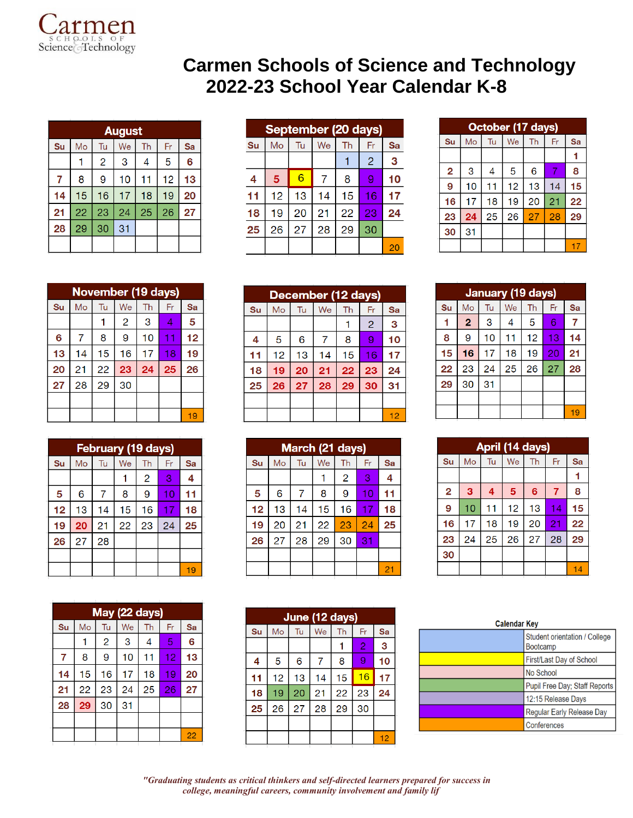

## **Carmen Schools of Science and Technology 2022-23 School Year Calendar K-8**

| <b>August</b> |    |                |    |    |    |    |
|---------------|----|----------------|----|----|----|----|
| Su            | Mo | Tu             | We | Th | Fr | Sa |
|               |    | $\overline{2}$ | 3  | 4  | 5  | 6  |
| 7             | 8  | 9              | 10 | 11 | 12 | 13 |
| 14            | 15 | 16             | 17 | 18 | 19 | 20 |
| 21            | 22 | 23             | 24 | 25 | 26 | 27 |
| 28            | 29 | 30             | 31 |    |    |    |
|               |    |                |    |    |    |    |

|    | September (20 days) |    |    |    |                |    |
|----|---------------------|----|----|----|----------------|----|
| Su | Mo                  | Tu | We | Th | Fr             | Sa |
|    |                     |    |    |    | $\overline{2}$ | 3  |
| 4  | 5                   | 6  | 7  | 8  | 9              | 10 |
| 11 | 12                  | 13 | 14 | 15 | 16             | 17 |
| 18 | 19                  | 20 | 21 | 22 | 23             | 24 |
| 25 | 26                  | 27 | 28 | 29 | 30             |    |
|    |                     |    |    |    |                | 20 |

| October (17 days) |    |    |    |    |    |    |
|-------------------|----|----|----|----|----|----|
| Su                | Mo | Tu | We | Th | Fr | Sa |
|                   |    |    |    |    |    |    |
| $\overline{2}$    | 3  | 4  | 5  | 6  |    | 8  |
| 9                 | 10 | 11 | 12 | 13 | 14 | 15 |
| 16                | 17 | 18 | 19 | 20 | 21 | 22 |
| 23                | 24 | 25 | 26 | 27 | 28 | 29 |
| 30                | 31 |    |    |    |    |    |
|                   |    |    |    |    |    | 17 |

|    | <b>November (19 days)</b> |    |                |    |    |    |  |
|----|---------------------------|----|----------------|----|----|----|--|
| Su | Mo                        | Tu | We             | Th | Fr | Sa |  |
|    |                           |    | $\overline{c}$ | 3  | 4  | 5  |  |
| 6  | 7                         | 8  | 9              | 10 | 11 | 12 |  |
| 13 | 14                        | 15 | 16             | 17 | 18 | 19 |  |
| 20 | 21                        | 22 | 23             | 24 | 25 | 26 |  |
| 27 | 28                        | 29 | 30             |    |    |    |  |
|    |                           |    |                |    |    |    |  |
|    |                           |    |                |    |    | 19 |  |

| <b>February (19 days)</b> |    |    |    |                |    |    |
|---------------------------|----|----|----|----------------|----|----|
| Su                        | Mo | Tu | We | Th             | Fr | Sa |
|                           |    |    |    | $\overline{2}$ | 3  | 4  |
| 5                         | 6  | 7  | 8  | 9              | 10 | 11 |
| 12                        | 13 | 14 | 15 | 16             | 17 | 18 |
| 19                        | 20 | 21 | 22 | 23             | 24 | 25 |
| 26                        | 27 | 28 |    |                |    |    |
|                           |    |    |    |                |    |    |
|                           |    |    |    |                |    | 19 |

| May (22 days) |    |    |    |    |    |    |
|---------------|----|----|----|----|----|----|
| Su            | Mo | Tu | We | Th | Fr | Sa |
|               |    | 2  | 3  | 4  | 5  | 6  |
| 7             | 8  | 9  | 10 | 11 | 12 | 13 |
| 14            | 15 | 16 | 17 | 18 | 19 | 20 |
| 21            | 22 | 23 | 24 | 25 | 26 | 27 |
| 28            | 29 | 30 | 31 |    |    |    |
|               |    |    |    |    |    |    |
|               |    |    |    |    |    | 22 |

| December (12 days) |    |    |    |    |                |    |
|--------------------|----|----|----|----|----------------|----|
| Su                 | Mo | Tu | We | Th | Fr             | Sa |
|                    |    |    |    |    | $\overline{2}$ | 3  |
| 4                  | 5  | 6  | 7  | 8  | 9              | 10 |
| 11                 | 12 | 13 | 14 | 15 | 16             | 17 |
| 18                 | 19 | 20 | 21 | 22 | 23             | 24 |
| 25                 | 26 | 27 | 28 | 29 | 30             | 31 |
|                    |    |    |    |    |                |    |
|                    |    |    |    |    |                | 12 |

|    | March (21 days) |    |    |    |    |    |
|----|-----------------|----|----|----|----|----|
| Su | Mo              | Tu | We | Th | Fr | Sa |
|    |                 |    |    | 2  | 3  | 4  |
| 5  | 6               | 7  | 8  | 9  | 10 | 11 |
| 12 | 13              | 14 | 15 | 16 | 17 | 18 |
| 19 | 20              | 21 | 22 | 23 | 24 | 25 |
| 26 | 27              | 28 | 29 | 30 | 31 |    |
|    |                 |    |    |    |    |    |
|    |                 |    |    |    |    | 21 |

| June (12 days) |    |    |    |    |    |    |
|----------------|----|----|----|----|----|----|
| Su             | Mo | Tu | We | Th | Fr | Sa |
|                |    |    |    |    | 2  | 3  |
| 4              | 5  | 6  | 7  | 8  | 9  | 10 |
| 11             | 12 | 13 | 14 | 15 | 16 | 17 |
| 18             | 19 | 20 | 21 | 22 | 23 | 24 |
| 25             | 26 | 27 | 28 | 29 | 30 |    |
|                |    |    |    |    |    |    |
|                |    |    |    |    |    | 12 |

|    | <b>January (19 days)</b> |    |    |    |    |    |  |
|----|--------------------------|----|----|----|----|----|--|
| Su | Mo                       | Tu | We | Th | Fr | Sa |  |
|    | $\overline{\mathbf{c}}$  | 3  | 4  | 5  | 6  | 7  |  |
| 8  | 9                        | 10 | 11 | 12 | 13 | 14 |  |
| 15 | 16                       | 17 | 18 | 19 | 20 | 21 |  |
| 22 | 23                       | 24 | 25 | 26 | 27 | 28 |  |
| 29 | 30                       | 31 |    |    |    |    |  |
|    |                          |    |    |    |    |    |  |
|    |                          |    |    |    |    | 19 |  |

|                |    |    | April (14 days) |    |    |    |
|----------------|----|----|-----------------|----|----|----|
| Su             | Mo | Tu | We              | Th | Fr | Sa |
|                |    |    |                 |    |    |    |
| $\overline{2}$ | 3  | 4  | 5               | 6  | 7  | 8  |
| 9              | 10 | 11 | 12              | 13 | 14 | 15 |
| 16             | 17 | 18 | 19              | 20 | 21 | 22 |
| 23             | 24 | 25 | 26              | 27 | 28 | 29 |
| 30             |    |    |                 |    |    |    |
|                |    |    |                 |    |    | 14 |

| <b>Calendar Key</b> |                                                  |
|---------------------|--------------------------------------------------|
|                     | Student orientation / College<br><b>Bootcamp</b> |
|                     | First/Last Day of School                         |
|                     | No School                                        |
|                     | <b>Pupil Free Day: Staff Reports</b>             |
|                     | 12:15 Release Days                               |
|                     | <b>Regular Early Release Day</b>                 |
|                     | Conferences                                      |
|                     |                                                  |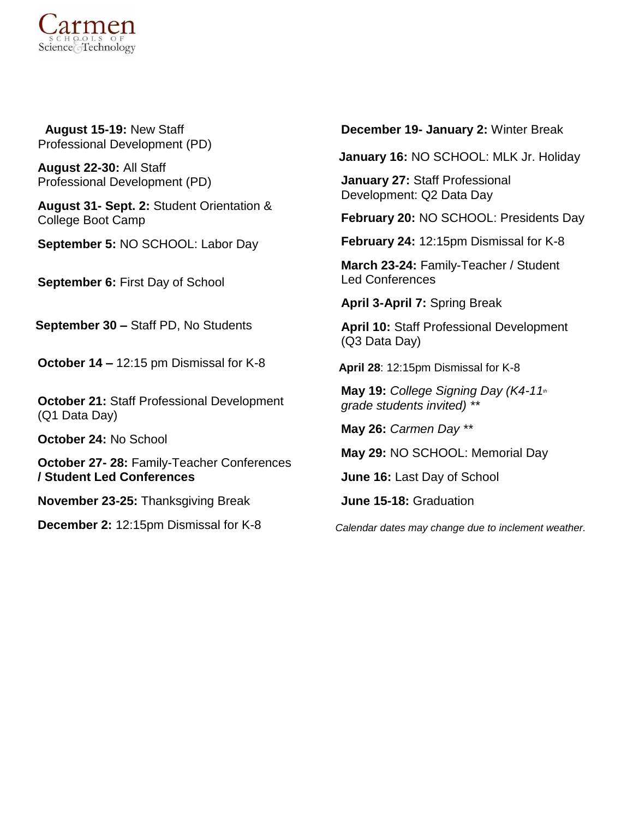

 **August 15-19:** New Staff Professional Development (PD)

**August 22-30:** All Staff Professional Development (PD)

**August 31- Sept. 2:** Student Orientation & College Boot Camp

**September 5:** NO SCHOOL: Labor Day

**September 6:** First Day of School

**September 30 –** Staff PD, No Students

**October 14 –** 12:15 pm Dismissal for K-8

**October 21:** Staff Professional Development (Q1 Data Day)

**October 24:** No School

**October 27- 28:** Family-Teacher Conferences **/ Student Led Conferences**

**November 23-25:** Thanksgiving Break

**December 2:** 12:15pm Dismissal for K-8

**December 19- January 2:** Winter Break

**January 16:** NO SCHOOL: MLK Jr. Holiday

**January 27:** Staff Professional Development: Q2 Data Day

**February 20:** NO SCHOOL: Presidents Day

**February 24:** 12:15pm Dismissal for K-8

**March 23-24:** Family-Teacher / Student Led Conferences

**April 3-April 7:** Spring Break

**April 10:** Staff Professional Development (Q3 Data Day)

**April 28**: 12:15pm Dismissal for K-8

**May 19:** *College Signing Day (K4-11th grade students invited) \*\**

**May 26:** *Carmen Day \*\**

**May 29:** NO SCHOOL: Memorial Day

**June 16:** Last Day of School

**June 15-18:** Graduation

*Calendar dates may change due to inclement weather.*